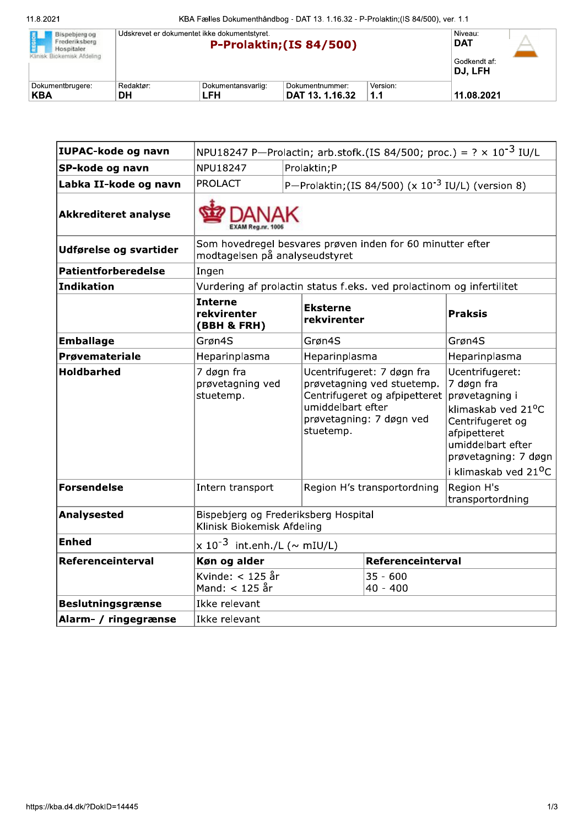| Bispebjerg og<br>Frederiksberg<br>Hospitaler.<br>Klinisk Biokemisk Afdeling | Udskrevet er dokumentet ikke dokumentstyret. | Niveau:<br><b>DAT</b><br>Godkendt af:<br>DJ. LFH |                 |          |            |
|-----------------------------------------------------------------------------|----------------------------------------------|--------------------------------------------------|-----------------|----------|------------|
| Dokumentbrugere:                                                            | Redaktør:                                    | Dokumentansvarlig:                               | Dokumentnummer: | Version: | 11.08.2021 |
| KBA                                                                         | DН                                           | LFH                                              | DAT 13. 1.16.32 | 1.1      |            |

| IUPAC-kode og navn          | NPU18247 P-Prolactin; arb.stofk.(IS 84/500; proc.) = $? \times 10^{-3}$ IU/L                 |              |                                                                                                                                                         |                                                         |                                                                                                                                                                                             |  |
|-----------------------------|----------------------------------------------------------------------------------------------|--------------|---------------------------------------------------------------------------------------------------------------------------------------------------------|---------------------------------------------------------|---------------------------------------------------------------------------------------------------------------------------------------------------------------------------------------------|--|
| SP-kode og navn             | NPU18247                                                                                     | Prolaktin; P |                                                                                                                                                         |                                                         |                                                                                                                                                                                             |  |
| Labka II-kode og navn       | <b>PROLACT</b>                                                                               |              |                                                                                                                                                         | P-Prolaktin; (IS 84/500) (x $10^{-3}$ IU/L) (version 8) |                                                                                                                                                                                             |  |
| <b>Akkrediteret analyse</b> |                                                                                              |              |                                                                                                                                                         |                                                         |                                                                                                                                                                                             |  |
| Udførelse og svartider      | Som hovedregel besvares prøven inden for 60 minutter efter<br>modtagelsen på analyseudstyret |              |                                                                                                                                                         |                                                         |                                                                                                                                                                                             |  |
| Patientforberedelse         | Ingen                                                                                        |              |                                                                                                                                                         |                                                         |                                                                                                                                                                                             |  |
| Indikation                  | Vurdering af prolactin status f.eks. ved prolactinom og infertilitet                         |              |                                                                                                                                                         |                                                         |                                                                                                                                                                                             |  |
|                             | <b>Interne</b><br>rekvirenter<br>(BBH & FRH)                                                 |              | <b>Eksterne</b><br>rekvirenter                                                                                                                          |                                                         | <b>Praksis</b>                                                                                                                                                                              |  |
| <b>Emballage</b>            | Grøn4S                                                                                       |              | Grøn4S                                                                                                                                                  |                                                         | Grøn4S                                                                                                                                                                                      |  |
| Prøvemateriale              | Heparinplasma                                                                                |              | Heparinplasma                                                                                                                                           |                                                         | Heparinplasma                                                                                                                                                                               |  |
| <b>Holdbarhed</b>           | 7 døgn fra<br>prøvetagning ved<br>stuetemp.                                                  |              | Ucentrifugeret: 7 døgn fra<br>prøvetagning ved stuetemp.<br>Centrifugeret og afpipetteret<br>umiddelbart efter<br>prøvetagning: 7 døgn ved<br>stuetemp. |                                                         | Ucentrifugeret:<br>7 døgn fra<br>prøvetagning i<br>klimaskab ved 21°C<br>Centrifugeret og<br>afpipetteret<br>umiddelbart efter<br>prøvetagning: 7 døgn<br>i klimaskab ved 21 <sup>o</sup> C |  |
| Forsendelse                 | Intern transport                                                                             |              | Region H's transportordning                                                                                                                             |                                                         | Region H's<br>transportordning                                                                                                                                                              |  |
| <b>Analysested</b>          | Bispebjerg og Frederiksberg Hospital<br>Klinisk Biokemisk Afdeling                           |              |                                                                                                                                                         |                                                         |                                                                                                                                                                                             |  |
| <b>Enhed</b>                | $\times$ 10 <sup>-3</sup> int.enh./L (~ mIU/L)                                               |              |                                                                                                                                                         |                                                         |                                                                                                                                                                                             |  |
| Referenceinterval           | Køn og alder                                                                                 |              |                                                                                                                                                         | Referenceinterval                                       |                                                                                                                                                                                             |  |
|                             | Kvinde: $<$ 125 år<br>Mand: < 125 år                                                         |              |                                                                                                                                                         | $35 - 600$<br>$40 - 400$                                |                                                                                                                                                                                             |  |
| <b>Beslutningsgrænse</b>    | Ikke relevant                                                                                |              |                                                                                                                                                         |                                                         |                                                                                                                                                                                             |  |
| Alarm- / ringegrænse        | Ikke relevant                                                                                |              |                                                                                                                                                         |                                                         |                                                                                                                                                                                             |  |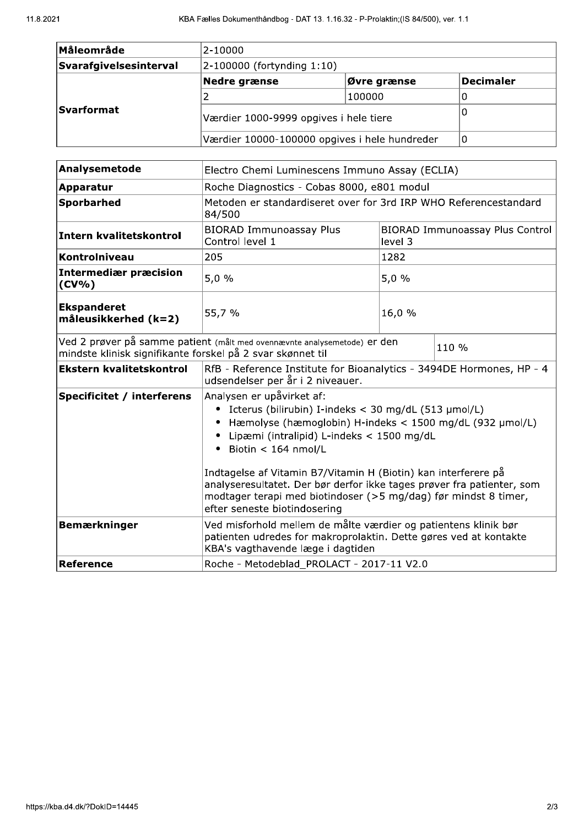| Måleområde             | 2-10000                                       |             |           |  |  |
|------------------------|-----------------------------------------------|-------------|-----------|--|--|
| Svarafgivelsesinterval | $ 2 - 100000$ (fortynding 1:10)               |             |           |  |  |
|                        | Nedre grænse                                  | Øvre grænse | Decimaler |  |  |
|                        |                                               | 100000      |           |  |  |
| <b>Svarformat</b>      | Værdier 1000-9999 opgives i hele tiere        | Ü           |           |  |  |
|                        | Værdier 10000-100000 opgives i hele hundreder |             |           |  |  |

| Analysemetode                                              | Electro Chemi Luminescens Immuno Assay (ECLIA)                                                                                                                                                                                                                                                                                                                                                                                             |                                                   |       |  |  |
|------------------------------------------------------------|--------------------------------------------------------------------------------------------------------------------------------------------------------------------------------------------------------------------------------------------------------------------------------------------------------------------------------------------------------------------------------------------------------------------------------------------|---------------------------------------------------|-------|--|--|
| Apparatur                                                  | Roche Diagnostics - Cobas 8000, e801 modul                                                                                                                                                                                                                                                                                                                                                                                                 |                                                   |       |  |  |
| <b>Sporbarhed</b>                                          | Metoden er standardiseret over for 3rd IRP WHO Referencestandard<br>84/500                                                                                                                                                                                                                                                                                                                                                                 |                                                   |       |  |  |
| Intern kvalitetskontrol                                    | <b>BIORAD Immunoassay Plus</b><br>Control level 1                                                                                                                                                                                                                                                                                                                                                                                          | <b>BIORAD Immunoassay Plus Control</b><br>level 3 |       |  |  |
| Kontrolniveau                                              | 205                                                                                                                                                                                                                                                                                                                                                                                                                                        | 1282                                              |       |  |  |
| Intermediær præcision<br>$(CV\% )$                         | 5,0%                                                                                                                                                                                                                                                                                                                                                                                                                                       | 5,0%                                              |       |  |  |
| <b>Ekspanderet</b><br>måleusikkerhed (k=2)                 | 55,7 %                                                                                                                                                                                                                                                                                                                                                                                                                                     | 16,0 %                                            |       |  |  |
| mindste klinisk signifikante forskel på 2 svar skønnet til | Ved 2 prøver på samme patient (målt med ovennævnte analysemetode) er den                                                                                                                                                                                                                                                                                                                                                                   |                                                   | 110 % |  |  |
| <b>Ekstern kvalitetskontrol</b>                            | RfB - Reference Institute for Bioanalytics - 3494DE Hormones, HP - 4<br>udsendelser per år i 2 niveauer.                                                                                                                                                                                                                                                                                                                                   |                                                   |       |  |  |
| <b>Specificitet / interferens</b>                          | Analysen er upåvirket af:<br>Icterus (bilirubin) I-indeks < 30 mg/dL (513 µmol/L)<br>٠<br>Hæmolyse (hæmoglobin) H-indeks < 1500 mg/dL (932 µmol/L)<br>Lipæmi (intralipid) L-indeks < 1500 mg/dL<br>Biotin < 164 nmol/L<br>٠<br>Indtagelse af Vitamin B7/Vitamin H (Biotin) kan interferere på<br>analyseresultatet. Der bør derfor ikke tages prøver fra patienter, som<br>modtager terapi med biotindoser (>5 mg/dag) før mindst 8 timer, |                                                   |       |  |  |
|                                                            | efter seneste biotindosering                                                                                                                                                                                                                                                                                                                                                                                                               |                                                   |       |  |  |
| <b>Bemærkninger</b>                                        | Ved misforhold mellem de målte værdier og patientens klinik bør<br>patienten udredes for makroprolaktin. Dette gøres ved at kontakte<br>KBA's vagthavende læge i dagtiden                                                                                                                                                                                                                                                                  |                                                   |       |  |  |
| Reference                                                  | Roche - Metodeblad_PROLACT - 2017-11 V2.0                                                                                                                                                                                                                                                                                                                                                                                                  |                                                   |       |  |  |